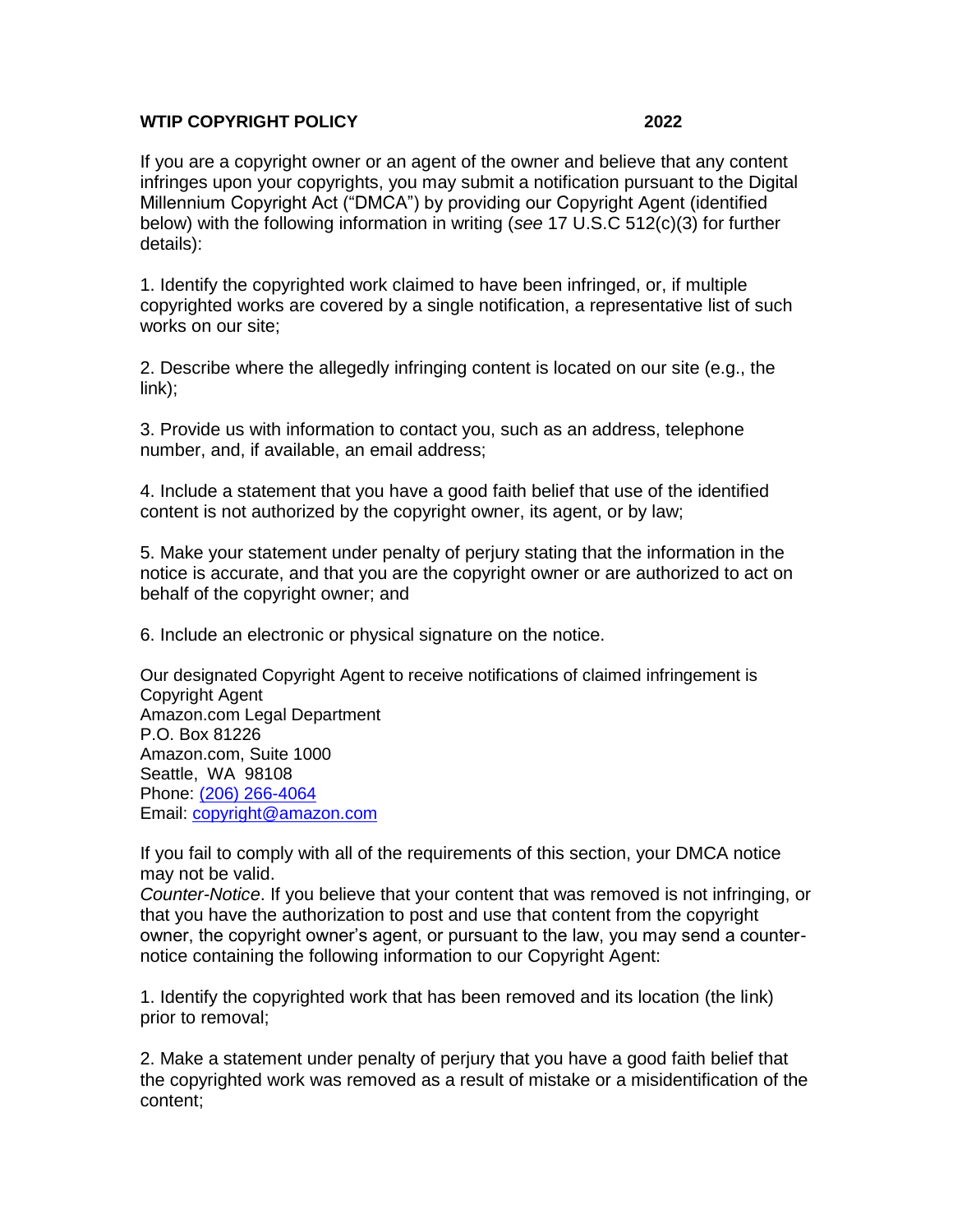## **WTIP COPYRIGHT POLICY 2022**

If you are a copyright owner or an agent of the owner and believe that any content infringes upon your copyrights, you may submit a notification pursuant to the Digital Millennium Copyright Act ("DMCA") by providing our Copyright Agent (identified below) with the following information in writing (*see* 17 U.S.C 512(c)(3) for further details):

1. Identify the copyrighted work claimed to have been infringed, or, if multiple copyrighted works are covered by a single notification, a representative list of such works on our site;

2. Describe where the allegedly infringing content is located on our site (e.g., the link);

3. Provide us with information to contact you, such as an address, telephone number, and, if available, an email address;

4. Include a statement that you have a good faith belief that use of the identified content is not authorized by the copyright owner, its agent, or by law;

5. Make your statement under penalty of perjury stating that the information in the notice is accurate, and that you are the copyright owner or are authorized to act on behalf of the copyright owner; and

6. Include an electronic or physical signature on the notice.

Our designated Copyright Agent to receive notifications of claimed infringement is Copyright Agent Amazon.com Legal Department P.O. Box 81226 Amazon.com, Suite 1000 Seattle, WA 98108 Phone: [\(206\) 266-4064](tel:(206)%20266-4064) Email: [copyright@amazon.com](mailto:copyright@amazon.com)

If you fail to comply with all of the requirements of this section, your DMCA notice may not be valid.

*Counter-Notice*. If you believe that your content that was removed is not infringing, or that you have the authorization to post and use that content from the copyright owner, the copyright owner's agent, or pursuant to the law, you may send a counternotice containing the following information to our Copyright Agent:

1. Identify the copyrighted work that has been removed and its location (the link) prior to removal;

2. Make a statement under penalty of perjury that you have a good faith belief that the copyrighted work was removed as a result of mistake or a misidentification of the content;